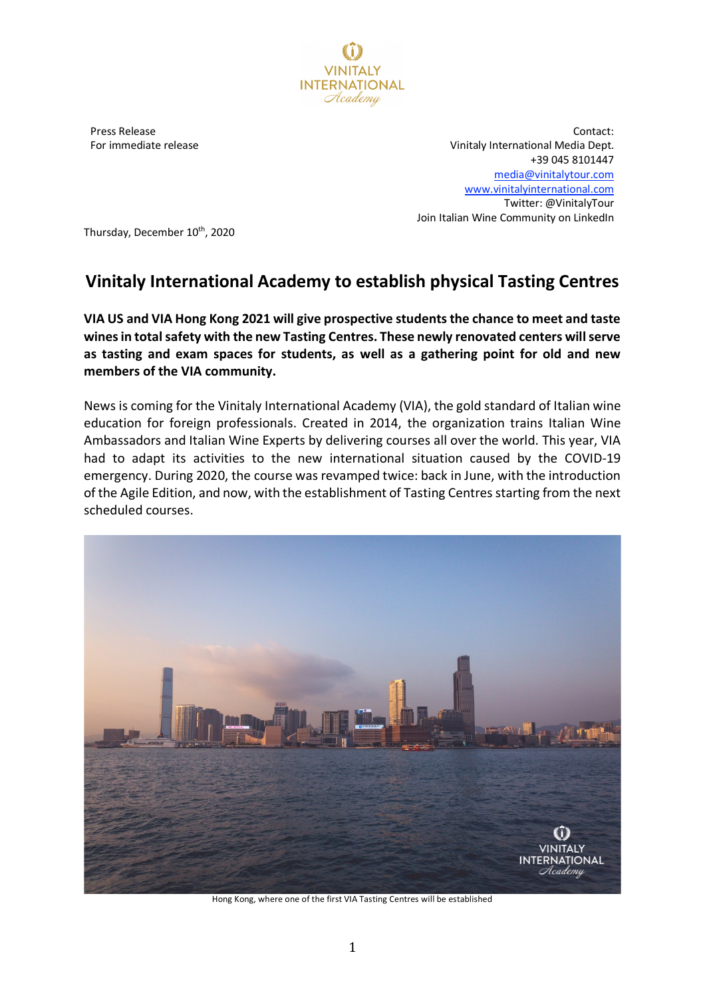

Press Release For immediate release

Contact: Vinitaly International Media Dept. +39 045 8101447 media@vinitalytour.com www.vinitalyinternational.com Twitter: @VinitalyTour Join Italian Wine Community on LinkedIn

Thursday, December 10<sup>th</sup>, 2020

## **Vinitaly International Academy to establish physical Tasting Centres**

**VIA US and VIA Hong Kong 2021 will give prospective students the chance to meet and taste wines in total safety with the new Tasting Centres. These newly renovated centers will serve as tasting and exam spaces for students, as well as a gathering point for old and new members of the VIA community.**

News is coming for the Vinitaly International Academy (VIA), the gold standard of Italian wine education for foreign professionals. Created in 2014, the organization trains Italian Wine Ambassadors and Italian Wine Experts by delivering courses all over the world. This year, VIA had to adapt its activities to the new international situation caused by the COVID-19 emergency. During 2020, the course was revamped twice: back in June, with the introduction of the Agile Edition, and now, with the establishment of Tasting Centres starting from the next scheduled courses.



Hong Kong, where one of the first VIA Tasting Centres will be established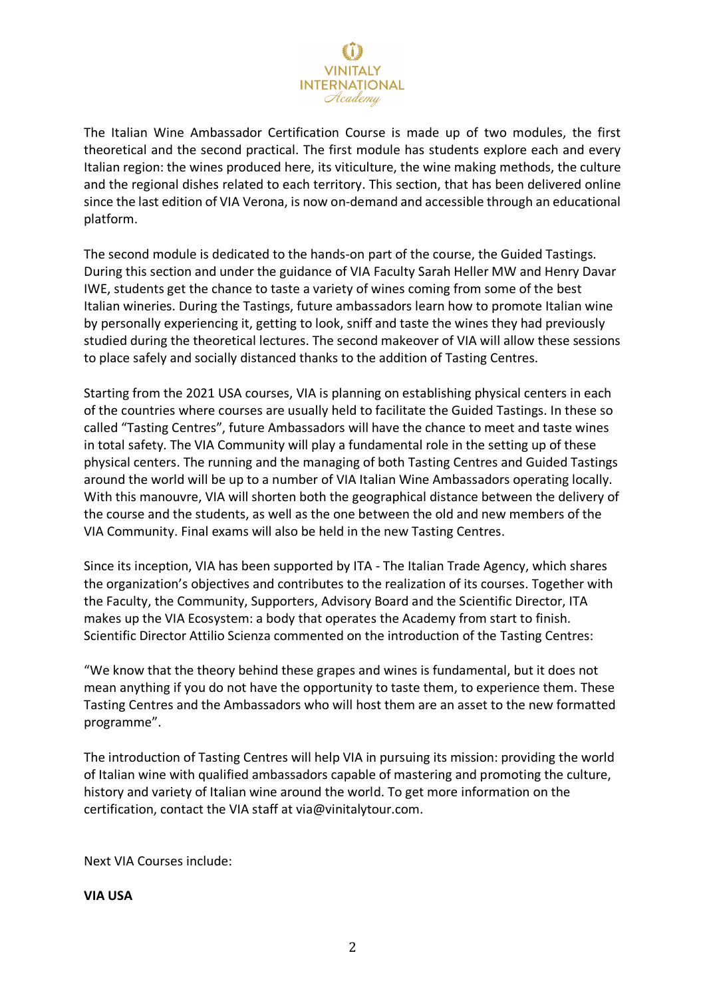## **INTERNATIONAL** Hcademy

The Italian Wine Ambassador Certification Course is made up of two modules, the first theoretical and the second practical. The first module has students explore each and every Italian region: the wines produced here, its viticulture, the wine making methods, the culture and the regional dishes related to each territory. This section, that has been delivered online since the last edition of VIA Verona, is now on-demand and accessible through an educational platform.

The second module is dedicated to the hands-on part of the course, the Guided Tastings. During this section and under the guidance of VIA Faculty Sarah Heller MW and Henry Davar IWE, students get the chance to taste a variety of wines coming from some of the best Italian wineries. During the Tastings, future ambassadors learn how to promote Italian wine by personally experiencing it, getting to look, sniff and taste the wines they had previously studied during the theoretical lectures. The second makeover of VIA will allow these sessions to place safely and socially distanced thanks to the addition of Tasting Centres.

Starting from the 2021 USA courses, VIA is planning on establishing physical centers in each of the countries where courses are usually held to facilitate the Guided Tastings. In these so called "Tasting Centres", future Ambassadors will have the chance to meet and taste wines in total safety. The VIA Community will play a fundamental role in the setting up of these physical centers. The running and the managing of both Tasting Centres and Guided Tastings around the world will be up to a number of VIA Italian Wine Ambassadors operating locally. With this manouvre, VIA will shorten both the geographical distance between the delivery of the course and the students, as well as the one between the old and new members of the VIA Community. Final exams will also be held in the new Tasting Centres.

Since its inception, VIA has been supported by ITA - The Italian Trade Agency, which shares the organization's objectives and contributes to the realization of its courses. Together with the Faculty, the Community, Supporters, Advisory Board and the Scientific Director, ITA makes up the VIA Ecosystem: a body that operates the Academy from start to finish. Scientific Director Attilio Scienza commented on the introduction of the Tasting Centres:

"We know that the theory behind these grapes and wines is fundamental, but it does not mean anything if you do not have the opportunity to taste them, to experience them. These Tasting Centres and the Ambassadors who will host them are an asset to the new formatted programme".

The introduction of Tasting Centres will help VIA in pursuing its mission: providing the world of Italian wine with qualified ambassadors capable of mastering and promoting the culture, history and variety of Italian wine around the world. To get more information on the certification, contact the VIA staff at via@vinitalytour.com.

Next VIA Courses include:

**VIA USA**